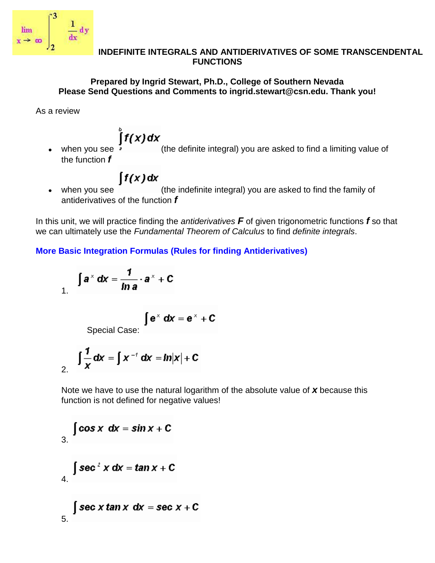

#### **INDEFINITE INTEGRALS AND ANTIDERIVATIVES OF SOME TRANSCENDENTAL FUNCTIONS**

### **Prepared by Ingrid Stewart, Ph.D., College of Southern Nevada Please Send Questions and Comments to ingrid.stewart@csn.edu. Thank you!**

As a review

when you see  $\int\limits_{0}^{\infty} f(x) dx$  (the definite integral) you are asked to find a limiting value of  $\bullet$ the function *f*

# $\int f(x) dx$

when you see (the indefinite integral) you are asked to find the family of  $\bullet$ antiderivatives of the function *f*

In this unit, we will practice finding the *antiderivatives F* of given trigonometric functions *f* so that we can ultimately use the *Fundamental Theorem of Calculus* to find *definite integrals*.

**More Basic Integration Formulas (Rules for finding Antiderivatives)**

$$
\int a^x dx = \frac{1}{\ln a} \cdot a^x + C
$$

$$
\int e^x dx = e^x + C
$$

Special Case:

$$
\int \frac{1}{x} dx = \int x^{-t} dx = \ln|x| + C
$$

Note we have to use the natural logarithm of the absolute value of *x* because this function is not defined for negative values!

3. 
$$
\int \cos x \, dx = \sin x + C
$$
  
4. 
$$
\int \sec^2 x \, dx = \tan x + C
$$
  
5. 
$$
\int \sec x \tan x \, dx = \sec x + C
$$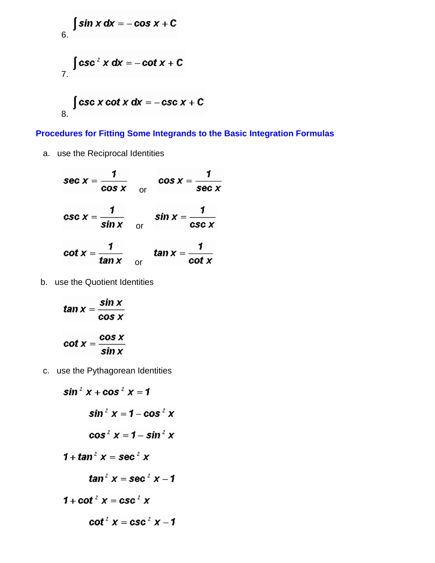6. 
$$
\int \sin x \, dx = -\cos x + C
$$
  
7. 
$$
\int \csc^2 x \, dx = -\cot x + C
$$
  
8. 
$$
\int \csc x \cot x \, dx = -\csc x + C
$$

**Procedures for Fitting Some Integrands to the Basic Integration Formulas**

a. use the Reciprocal Identities

 $\sec x = \frac{1}{\cos x}$   $\cos x = \frac{1}{\sec x}$  $\csc x = \frac{1}{\sin x}$  or  $\sin x = \frac{1}{\csc x}$  $\cot x = \frac{1}{\tan x}$  or  $\tan x = \frac{1}{\cot x}$ 

b. use the Quotient Identities

$$
\tan x = \frac{\sin x}{\cos x}
$$

$$
\cot x = \frac{\cos x}{\sin x}
$$

c. use the Pythagorean Identities

$$
\sin^2 x + \cos^2 x = 1
$$
\n
$$
\sin^2 x = 1 - \cos^2 x
$$
\n
$$
\cos^2 x = 1 - \sin^2 x
$$
\n
$$
1 + \tan^2 x = \sec^2 x
$$
\n
$$
\tan^2 x = \sec^2 x - 1
$$
\n
$$
1 + \cot^2 x = \csc^2 x
$$
\n
$$
\cot^2 x = \csc^2 x - 1
$$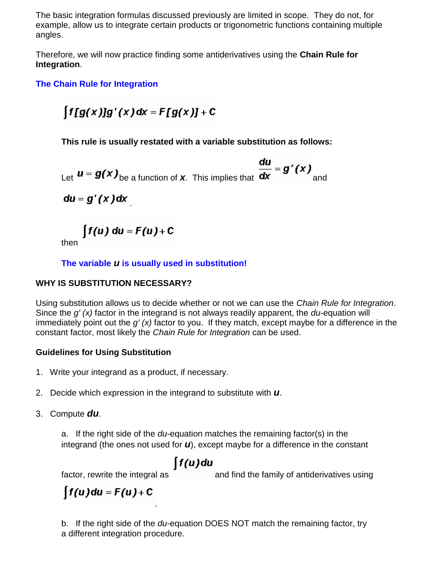The basic integration formulas discussed previously are limited in scope. They do not, for example, allow us to integrate certain products or trigonometric functions containing multiple angles.

Therefore, we will now practice finding some antiderivatives using the **Chain Rule for Integration**.

# **The Chain Rule for Integration**

$$
\int f[g(x)]g'(x)dx = F[g(x)] + C
$$

**This rule is usually restated with a variable substitution as follows:**

Let 
$$
u = g(x)_{\text{be a function of } x}
$$
. This implies that  $\frac{du}{dx} = g'(x)$  and

 $du = g'(x)dx$ 

$$
\int f(u) \, du = F(u) + C
$$

then

### **The variable** *u* **is usually used in substitution!**

### **WHY IS SUBSTITUTION NECESSARY?**

Using substitution allows us to decide whether or not we can use the *Chain Rule for Integration*. Since the *g' (x)* factor in the integrand is not always readily apparent, the *du*-equation will immediately point out the *g' (x)* factor to you. If they match, except maybe for a difference in the constant factor, most likely the *Chain Rule for Integration* can be used.

### **Guidelines for Using Substitution**

- 1. Write your integrand as a product, if necessary.
- 2. Decide which expression in the integrand to substitute with *u*.

.

3. Compute *du*.

a. If the right side of the *du*-equation matches the remaining factor(s) in the integrand (the ones not used for *u*), except maybe for a difference in the constant

# ∫f(u)du

factor, rewrite the integral as and find the family of antiderivatives using

 $\int f(u) du = F(u) + C$ 

b. If the right side of the *du*-equation DOES NOT match the remaining factor, try a different integration procedure.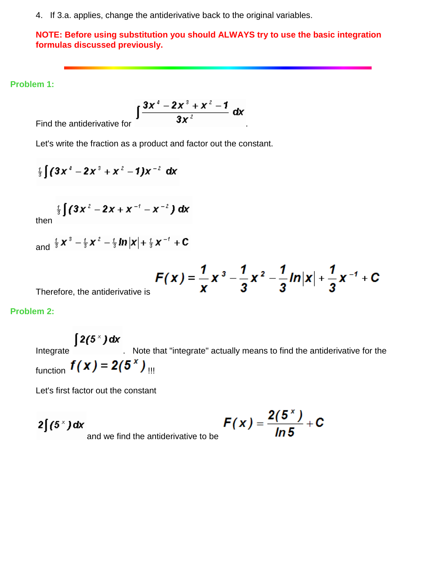4. If 3.a. applies, change the antiderivative back to the original variables.

#### **NOTE: Before using substitution you should ALWAYS try to use the basic integration formulas discussed previously.**

#### **Problem 1:**

$$
\int \frac{3x^4-2x^3+x^2-1}{3x^2} \, \mathrm{d}x
$$

Find the antiderivative for

Let's write the fraction as a product and factor out the constant.

$$
\frac{1}{3}\int (3x^4-2x^3+x^2-1)x^{-2} dx
$$

then 
$$
\frac{1}{3} \int (3x^2 - 2x + x^{-1} - x^{-2}) dx
$$

and 
$$
\frac{1}{3}x^3 - \frac{1}{3}x^2 - \frac{1}{3}\ln|x| + \frac{1}{3}x^{-1} + C
$$

$$
F(x) = \frac{1}{x} x^3 - \frac{1}{3} x^2 - \frac{1}{3} ln|x| + \frac{1}{3} x^{-1} + C
$$

Therefore, the antiderivative is

### **Problem 2:**

 $[2(5<sup>x</sup>)dx$ Integrate **Integrate** . Note that "integrate" actually means to find the antiderivative for the function  $f(x) = 2(5^x)$  !!!

ı

Let's first factor out the constant

 $2\int (5^x) dx$ 

$$
F(x)=\frac{2(5^x)}{\ln 5}+C
$$

and we find the antiderivative to be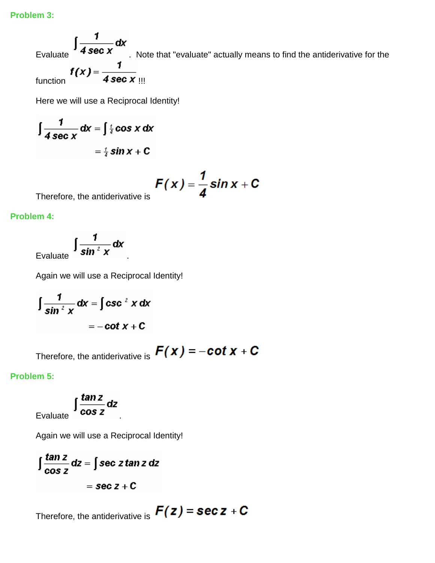Evaluate  $\int \frac{1}{4 \sec x} dx$ . Note that "evaluate" actually means to find the antiderivative for the Evaluate<br>function  $f(x) = \frac{1}{4 \sec x}$ 

Here we will use a Reciprocal Identity!

$$
\int \frac{1}{4 \sec x} dx = \int \frac{1}{4} \cos x dx
$$

$$
= \frac{1}{4} \sin x + C
$$

$$
F(x) = \frac{1}{4} \sin x + C
$$

Therefore, the antiderivative is

**Problem 4:**

Evaluate  $\int \frac{1}{\sin^2 x} dx$ 

Again we will use a Reciprocal Identity!

$$
\int \frac{1}{\sin^2 x} dx = \int \csc^2 x dx
$$

$$
= -\cot x + C
$$

Therefore, the antiderivative is  $F(x) = -\cot x + C$ 

ı

**Problem 5:**

Evaluate  $\int \frac{\tan z}{\cos z} dz$ 

Again we will use a Reciprocal Identity!

$$
\int \frac{\tan z}{\cos z} dz = \int \sec z \tan z dz
$$

$$
= \sec z + C
$$

Therefore, the antiderivative is  $F(z)$  = sec  $z$  + C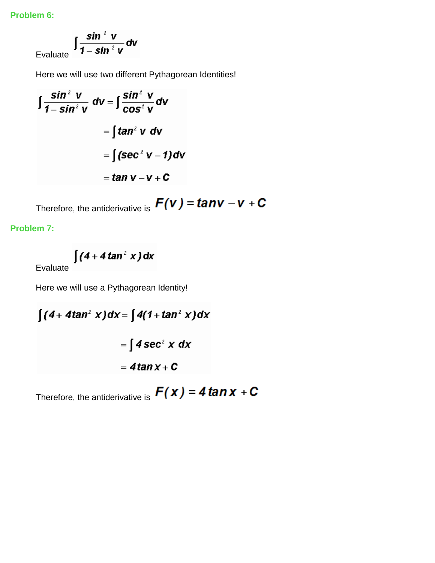**Problem 6:**

$$
\int \frac{\sin^2 v}{1 - \sin^2 v} dv
$$

Here we will use two different Pythagorean Identities!

$$
\int \frac{\sin^2 V}{1 - \sin^2 V} \, dV = \int \frac{\sin^2 V}{\cos^2 V} \, dV
$$

$$
= \int \tan^2 V \, dV
$$

$$
= \int (\sec^2 V - 1) \, dV
$$

$$
= \tan V - V + C
$$

Therefore, the antiderivative is  $F(v) = tan v - v + C$ 

**Problem 7:**

$$
\int (4+4\tan^2 x) dx
$$

Evaluate

Here we will use a Pythagorean Identity!

$$
\int (4 + 4\tan^2 x) dx = \int 4(1 + \tan^2 x) dx
$$

$$
= \int 4 \sec^2 x dx
$$

$$
= 4\tan x + C
$$

Therefore, the antiderivative is  $F(x) = 4 \tan x + C$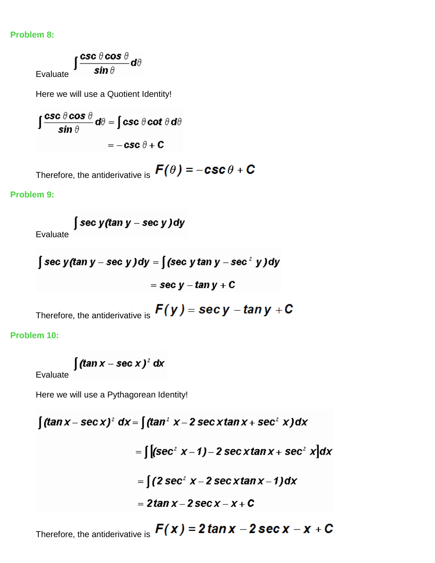#### **Problem 8:**

 $\int \frac{\csc \theta \cos \theta}{\sin \theta} d\theta$ Evaluate

Here we will use a Quotient Identity!

$$
\int \frac{\csc \theta \cos \theta}{\sin \theta} d\theta = \int \csc \theta \cot \theta d\theta
$$

$$
= -\csc \theta + C
$$

Therefore, the antiderivative is  $\bm{F}(\theta) = -\bm{csc}\,\theta + \bm{C}$ 

### **Problem 9:**

Evaluate 
$$
\int \sec y (\tan y - \sec y) dy
$$

$$
\int \sec y (\tan y - \sec y) dy = \int (\sec y \tan y - \sec^2 y) dy
$$

$$
= \sec y - \tan y + C
$$

Therefore, the antiderivative is  $F(y)$  = sec y - tan y + C

**Problem 10:**

 $\int (\tan x - \sec x)^2 dx$ 

Evaluate

Here we will use a Pythagorean Identity!

$$
\int (\tan x - \sec x)^2 dx = \int (\tan^2 x - 2 \sec x \tan x + \sec^2 x) dx
$$
  
= 
$$
\int [(\sec^2 x - 1) - 2 \sec x \tan x + \sec^2 x] dx
$$
  
= 
$$
\int (2 \sec^2 x - 2 \sec x \tan x - 1) dx
$$
  
= 
$$
2 \tan x - 2 \sec x - x + C
$$

Therefore, the antiderivative is  $F(x) = 2 \tan x - 2 \sec x - x + C$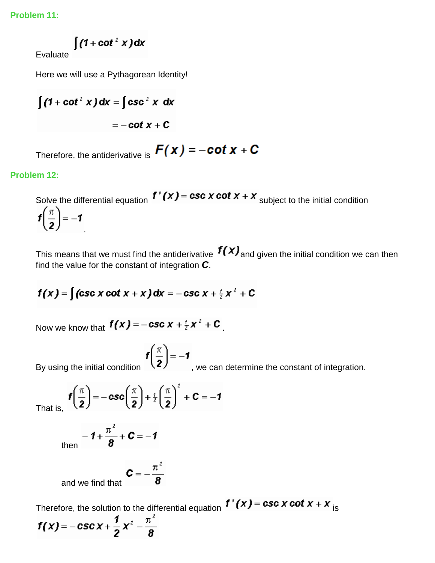**Problem 11:**

 $\int (1 + \cot^2 x) dx$ 

Evaluate

Here we will use a Pythagorean Identity!

$$
\int (1 + \cot^2 x) dx = \int \csc^2 x dx
$$

$$
= -\cot x + C
$$

Therefore, the antiderivative is  $F(x) = -\cot x + C$ 

## **Problem 12:**

Solve the differential equation  $f'(x) = \csc x \cot x + x$  subject to the initial condition  $f\left(\frac{\pi}{2}\right) = -1$ .

This means that we must find the antiderivative  $f(x)$  and given the initial condition we can then find the value for the constant of integration *C*.

$$
f(x) = \int (\csc x \cot x + x) dx = -\csc x + \frac{1}{2}x^2 + C
$$

Now we know that  $f(x) = -\csc x + \frac{1}{2}x^2 + C$ 

$$
f\left(\frac{\pi}{2}\right) = -1
$$

By using the initial condition  $\mathcal{L}$ , we can determine the constant of integration.

That is,  $f\left(\frac{\pi}{2}\right) = -\csc\left(\frac{\pi}{2}\right) + \frac{i}{2}\left(\frac{\pi}{2}\right)^2 + C = -1$ 

$$
t\text{hen} = \mathbf{1} + \frac{\pi^2}{\mathbf{8}} + \mathbf{C} = -\mathbf{1}
$$

and we find that  $\mathbf{C} = -\frac{\pi^2}{\mathbf{8}}$ 

Therefore, the solution to the differential equation  $f'(x) = \csc x \cot x + x$  is  $f(x) = -\csc x + \frac{1}{2}x^2 - \frac{\pi^2}{8}$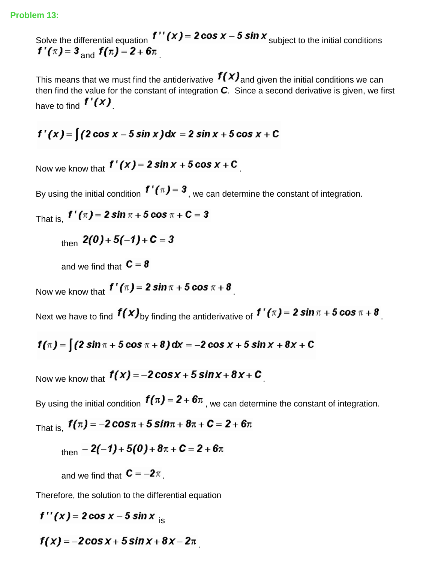Solve the differential equation  $f''(x) = 2 \cos x - 5 \sin x$  subject to the initial conditions  $f'(\pi) = 3$  and  $f(\pi) = 2 + 6\pi$ 

This means that we must find the antiderivative  $f(x)$  and given the initial conditions we can then find the value for the constant of integration *C*. Since a second derivative is given, we first have to find  $f'(x)$ 

$$
f'(x) = [(2 \cos x - 5 \sin x) dx = 2 \sin x + 5 \cos x + C
$$

Now we know that  $f'(x) = 2 \sin x + 5 \cos x + C$ 

By using the initial condition  $f'(x) = 3$ , we can determine the constant of integration.

That is, 
$$
f'(\pi) = 2 \sin \pi + 5 \cos \pi + C = 3
$$

$$
_{\text{then}} 2(0) + 5(-1) + C = 3
$$

and we find that  $C = 8$ 

Now we know that  $f'(\pi) = 2 \sin \pi + 5 \cos \pi + 8$ 

Next we have to find  $f(x)_{\text{by finding the antiderivative of}} f'(x) = 2 \sin \pi + 5 \cos \pi + 8$ 

$$
f(\pi) =
$$
  $\int$   $(2 \sin \pi + 5 \cos \pi + 8) dx = -2 \cos x + 5 \sin x + 8x + C$ 

Now we know that  $f(x) = -2\cos x + 5\sin x + 8x + C$ 

By using the initial condition  $f(\pi) = 2 + 6\pi$ , we can determine the constant of integration.

That is,  $f(\pi) = -2\cos \pi + 5\sin \pi + 8\pi + C = 2 + 6\pi$ 

$$
_{\text{then}} - 2(-1) + 5(0) + 8\pi + C = 2 + 6\pi
$$

and we find that  $C = -2\pi$ .

Therefore, the solution to the differential equation

 $f''(x) = 2\cos x - 5\sin x$ 

 $f(x) = -2\cos x + 5\sin x + 8x - 2\pi$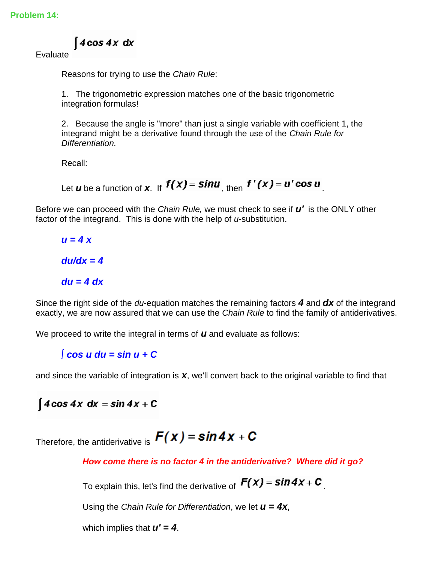$4\cos 4x dx$ 

Evaluate

Reasons for trying to use the *Chain Rule*:

1. The trigonometric expression matches one of the basic trigonometric integration formulas!

2. Because the angle is "more" than just a single variable with coefficient 1, the integrand might be a derivative found through the use of the *Chain Rule for Differentiation.*

Recall:

Let *u* be a function of **x**. If  $f(x) = \sin u$  then  $f'(x) = u' \cos u$ 

Before we can proceed with the *Chain Rule,* we must check to see if *u'* is the ONLY other factor of the integrand. This is done with the help of *u*-substitution.

*u = 4 x du/dx = 4 du = 4 dx*

Since the right side of the *du*-equation matches the remaining factors *4* and *dx* of the integrand exactly, we are now assured that we can use the *Chain Rule* to find the family of antiderivatives.

We proceed to write the integral in terms of *u* and evaluate as follows:

*∫ cos u du = sin u + C* 

and since the variable of integration is *x*, we'll convert back to the original variable to find that

 $\int 4\cos 4x \, dx = \sin 4x + C$ 

Therefore, the antiderivative is  $F(x) = \sin 4x + C$ 

*How come there is no factor 4 in the antiderivative? Where did it go?*

To explain this, let's find the derivative of  $F(x)$  =  $\sin 4x + C$ 

Using the *Chain Rule for Differentiation*, we let *u = 4x*,

which implies that *u' = 4*.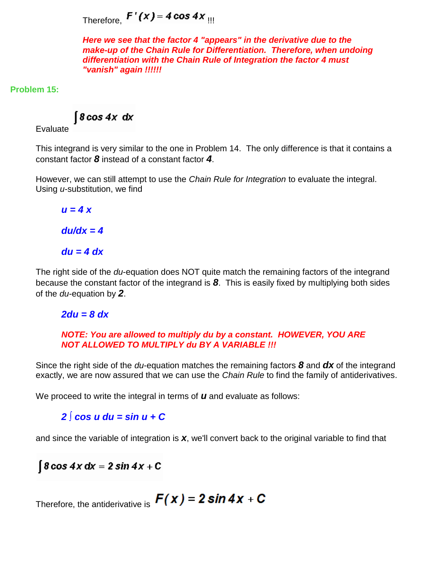Therefore,  $F'(x) = 4 \cos 4x$  III

*Here we see that the factor 4 "appears" in the derivative due to the make-up of the Chain Rule for Differentiation. Therefore, when undoing differentiation with the Chain Rule of Integration the factor 4 must "vanish" again !!!!!!*

**Problem 15:**

 $\int$ 8 cos 4x dx

Evaluate

This integrand is very similar to the one in Problem 14. The only difference is that it contains a constant factor *8* instead of a constant factor *4*.

However, we can still attempt to use the *Chain Rule for Integration* to evaluate the integral. Using *u*-substitution, we find

*u = 4 x du/dx = 4 du = 4 dx*

The right side of the *du*-equation does NOT quite match the remaining factors of the integrand because the constant factor of the integrand is *8*. This is easily fixed by multiplying both sides of the *du*-equation by *2*.

*2du = 8 dx*

#### *NOTE: You are allowed to multiply du by a constant. HOWEVER, YOU ARE NOT ALLOWED TO MULTIPLY du BY A VARIABLE !!!*

Since the right side of the *du*-equation matches the remaining factors *8* and *dx* of the integrand exactly, we are now assured that we can use the *Chain Rule* to find the family of antiderivatives.

We proceed to write the integral in terms of *u* and evaluate as follows:

*2 ∫ cos u du = sin u + C* 

and since the variable of integration is *x*, we'll convert back to the original variable to find that

 $\int 8 \cos 4x \, dx = 2 \sin 4x + C$ 

Therefore, the antiderivative is  $F(x) = 2 \sin 4x + C$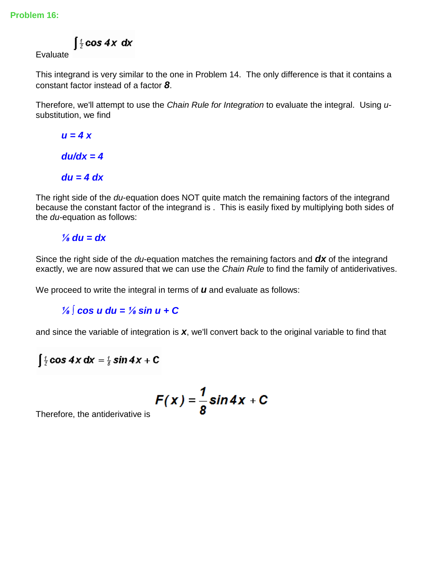$\int \frac{t}{2} \cos 4x \, dx$ 

Evaluate

This integrand is very similar to the one in Problem 14. The only difference is that it contains a constant factor instead of a factor *8*.

Therefore, we'll attempt to use the *Chain Rule for Integration* to evaluate the integral. Using *u*substitution, we find

*u = 4 x du/dx = 4 du = 4 dx*

The right side of the *du*-equation does NOT quite match the remaining factors of the integrand because the constant factor of the integrand is . This is easily fixed by multiplying both sides of the *du*-equation as follows:

# $\frac{1}{8}$  du = dx

Since the right side of the *du*-equation matches the remaining factors and *dx* of the integrand exactly, we are now assured that we can use the *Chain Rule* to find the family of antiderivatives.

We proceed to write the integral in terms of *u* and evaluate as follows:

*⅛ ∫ cos u du = ⅛ sin u + C* 

and since the variable of integration is *x*, we'll convert back to the original variable to find that

$$
\int \frac{t}{2} \cos 4x \, dx = \frac{t}{8} \sin 4x + C
$$

$$
F(x) = \frac{1}{8} \sin 4x + C
$$

Therefore, the antiderivative is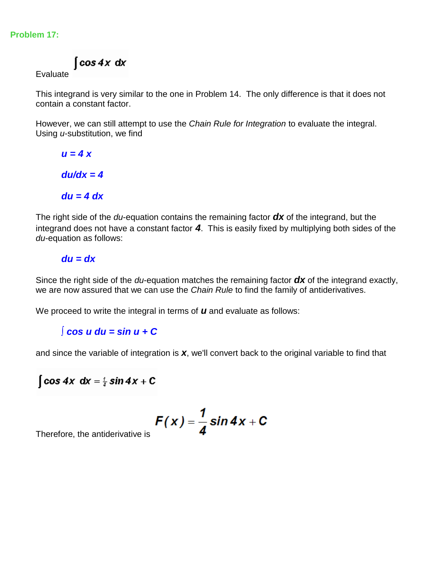#### **Problem 17:**

 $\int cos 4x dx$ 

Evaluate

This integrand is very similar to the one in Problem 14. The only difference is that it does not contain a constant factor.

However, we can still attempt to use the *Chain Rule for Integration* to evaluate the integral. Using *u*-substitution, we find

*u = 4 x du/dx = 4 du = 4 dx*

The right side of the *du*-equation contains the remaining factor *dx* of the integrand, but the integrand does not have a constant factor *4*. This is easily fixed by multiplying both sides of the *du*-equation as follows:

#### *du = dx*

Since the right side of the *du*-equation matches the remaining factor *dx* of the integrand exactly, we are now assured that we can use the *Chain Rule* to find the family of antiderivatives.

We proceed to write the integral in terms of *u* and evaluate as follows:

# *∫ cos u du = sin u + C*

and since the variable of integration is *x*, we'll convert back to the original variable to find that

$$
\int \cos 4x \, dx = \frac{1}{4} \sin 4x + C
$$

$$
F(x) = \frac{1}{4} \sin 4x + C
$$

Therefore, the antiderivative is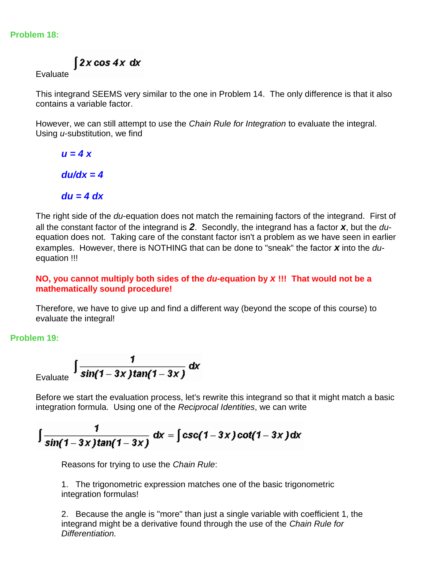#### **Problem 18:**

 $\int 2x \cos 4x \, dx$ 

Evaluate

This integrand SEEMS very similar to the one in Problem 14. The only difference is that it also contains a variable factor.

However, we can still attempt to use the *Chain Rule for Integration* to evaluate the integral. Using *u*-substitution, we find

*u = 4 x du/dx = 4*

*du = 4 dx*

The right side of the *du*-equation does not match the remaining factors of the integrand. First of all the constant factor of the integrand is *2*. Secondly, the integrand has a factor *x*, but the *du*equation does not. Taking care of the constant factor isn't a problem as we have seen in earlier examples. However, there is NOTHING that can be done to "sneak" the factor *x* into the *du*equation !!!

**NO, you cannot multiply both sides of the** *du***-equation by** *x* **!!! That would not be a mathematically sound procedure!**

Therefore, we have to give up and find a different way (beyond the scope of this course) to evaluate the integral!

**Problem 19:**

$$
\int \frac{1}{\sin(1-3x)\tan(1-3x)} dx
$$

Before we start the evaluation process, let's rewrite this integrand so that it might match a basic integration formula. Using one of the *Reciprocal Identities*, we can write

$$
\int \frac{1}{\sin(1-3x)\tan(1-3x)} dx = \int \csc(1-3x)\cot(1-3x) dx
$$

Reasons for trying to use the *Chain Rule*:

1. The trigonometric expression matches one of the basic trigonometric integration formulas!

2. Because the angle is "more" than just a single variable with coefficient 1, the integrand might be a derivative found through the use of the *Chain Rule for Differentiation.*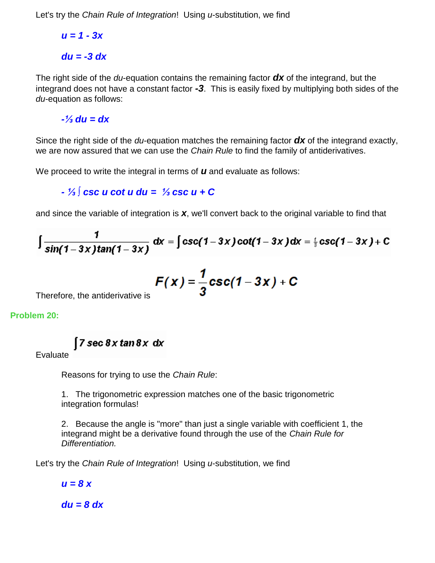Let's try the *Chain Rule of Integration*! Using *u*-substitution, we find

*u = 1 - 3x du = -3 dx*

The right side of the *du*-equation contains the remaining factor *dx* of the integrand, but the integrand does not have a constant factor *-3*. This is easily fixed by multiplying both sides of the *du*-equation as follows:

*-⅓ du = dx*

Since the right side of the *du*-equation matches the remaining factor *dx* of the integrand exactly, we are now assured that we can use the *Chain Rule* to find the family of antiderivatives.

We proceed to write the integral in terms of *u* and evaluate as follows:

# *- ⅓ ∫ csc u cot u du = ⅓ csc u + C*

and since the variable of integration is *x*, we'll convert back to the original variable to find that

$$
\int \frac{1}{\sin(1-3x)\tan(1-3x)} dx = \int \csc(1-3x)\cot(1-3x) dx = \frac{1}{3}\csc(1-3x) + C
$$

$$
F(x) = \frac{1}{3}\csc(1-3x) + C
$$

Therefore, the antiderivative is

**Problem 20:**

$$
7\sec 8x \tan 8x \; dx
$$

Evaluate

Reasons for trying to use the *Chain Rule*:

1. The trigonometric expression matches one of the basic trigonometric integration formulas!

2. Because the angle is "more" than just a single variable with coefficient 1, the integrand might be a derivative found through the use of the *Chain Rule for Differentiation.*

Let's try the *Chain Rule of Integration*! Using *u*-substitution, we find

*u = 8 x*

*du = 8 dx*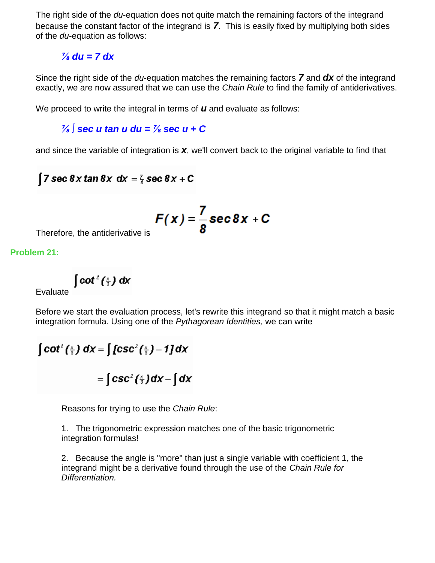The right side of the *du*-equation does not quite match the remaining factors of the integrand because the constant factor of the integrand is *7*. This is easily fixed by multiplying both sides of the *du*-equation as follows:

 $\frac{7}{8}$  du = 7 dx

Since the right side of the *du*-equation matches the remaining factors *7* and *dx* of the integrand exactly, we are now assured that we can use the *Chain Rule* to find the family of antiderivatives.

We proceed to write the integral in terms of *u* and evaluate as follows:

*⅞ ∫ sec u tan u du = ⅞ sec u + C* 

and since the variable of integration is *x*, we'll convert back to the original variable to find that

```
[7 sec 8 x tan 8 x dx = \frac{7}{8} sec 8 x + C
```

$$
F(x) = \frac{7}{8} \sec 8x + C
$$

Therefore, the antiderivative is

**Problem 21:**

 $\int$  cot<sup>2</sup> ( $\frac{x}{3}$ ) dx

Evaluate

Before we start the evaluation process, let's rewrite this integrand so that it might match a basic integration formula. Using one of the *Pythagorean Identities,* we can write

$$
\int \cot^2 \left(\frac{x}{3}\right) dx = \int \int \csc^2 \left(\frac{x}{3}\right) - 1 dx
$$

$$
= \int \csc^2 \left(\frac{x}{3}\right) dx - \int dx
$$

Reasons for trying to use the *Chain Rule*:

1. The trigonometric expression matches one of the basic trigonometric integration formulas!

2. Because the angle is "more" than just a single variable with coefficient 1, the integrand might be a derivative found through the use of the *Chain Rule for Differentiation.*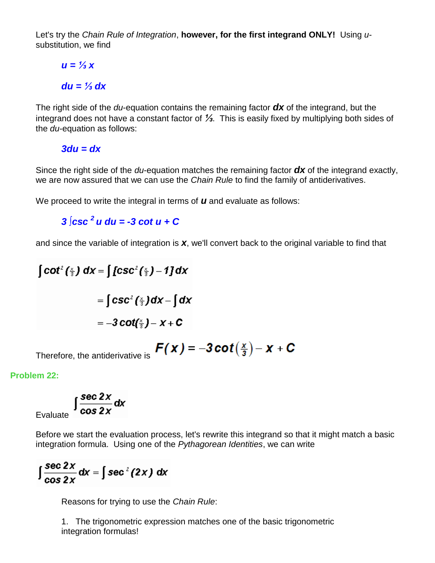Let's try the *Chain Rule of Integration*, **however, for the first integrand ONLY!** Using *u*substitution, we find

# *u = ⅓ x du = ⅓ dx*

The right side of the *du*-equation contains the remaining factor *dx* of the integrand, but the integrand does not have a constant factor of *⅓*. This is easily fixed by multiplying both sides of the *du*-equation as follows:

*3du = dx*

Since the right side of the *du*-equation matches the remaining factor *dx* of the integrand exactly, we are now assured that we can use the *Chain Rule* to find the family of antiderivatives.

We proceed to write the integral in terms of *u* and evaluate as follows:

*3 ∫csc <sup>2</sup>u du = -3 cot u + C*

and since the variable of integration is *x*, we'll convert back to the original variable to find that

$$
\int \cot^2 \left(\frac{x}{3}\right) dx = \int \int \csc^2 \left(\frac{x}{3}\right) - 1 \, dx
$$
\n
$$
= \int \csc^2 \left(\frac{x}{3}\right) dx - \int dx
$$
\n
$$
= -3 \cot \left(\frac{x}{3}\right) - x + C
$$

$$
F(x) = -3 \cot(\frac{x}{3}) - x + C
$$

Therefore, the antiderivative is

**Problem 22:**

$$
\int_{\text{Evaluate}} \int \frac{\sec 2x}{\cos 2x} \, \mathrm{d}x
$$

Before we start the evaluation process, let's rewrite this integrand so that it might match a basic integration formula. Using one of the *Pythagorean Identities*, we can write

$$
\int \frac{\sec 2x}{\cos 2x} dx = \int \sec^2(2x) dx
$$

Reasons for trying to use the *Chain Rule*:

1. The trigonometric expression matches one of the basic trigonometric integration formulas!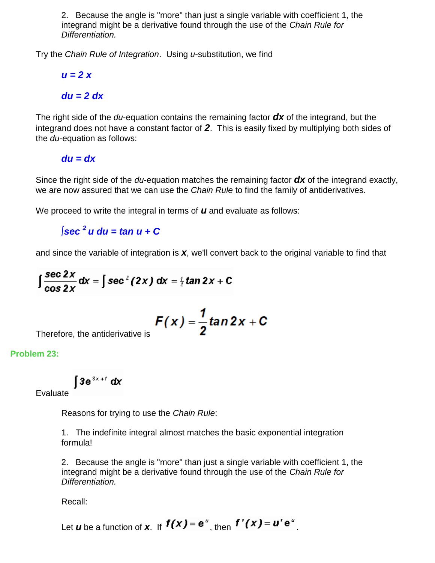2. Because the angle is "more" than just a single variable with coefficient 1, the integrand might be a derivative found through the use of the *Chain Rule for Differentiation.*

Try the *Chain Rule of Integration*. Using *u*-substitution, we find

*u = 2 x*

# *du = 2 dx*

The right side of the *du*-equation contains the remaining factor *dx* of the integrand, but the integrand does not have a constant factor of *2*. This is easily fixed by multiplying both sides of the *du*-equation as follows:

*du = dx*

Since the right side of the *du*-equation matches the remaining factor *dx* of the integrand exactly, we are now assured that we can use the *Chain Rule* to find the family of antiderivatives.

We proceed to write the integral in terms of *u* and evaluate as follows:

*∫sec <sup>2</sup>u du = tan u + C*

and since the variable of integration is *x*, we'll convert back to the original variable to find that

$$
\int \frac{\sec 2x}{\cos 2x} dx = \int \sec^2(2x) dx = \frac{1}{2} \tan 2x + C
$$

$$
F(x) = \frac{1}{2} \tan 2x + C
$$

Therefore, the antiderivative is

**Problem 23:**

$$
\int 3e^{3x+t} dx
$$

Evaluate

Reasons for trying to use the *Chain Rule*:

1. The indefinite integral almost matches the basic exponential integration formula!

2. Because the angle is "more" than just a single variable with coefficient 1, the integrand might be a derivative found through the use of the *Chain Rule for Differentiation.*

Recall:

Let *u* be a function of *x*. If  $f(x) = e^u$ , then  $f'(x) = u' e^u$ .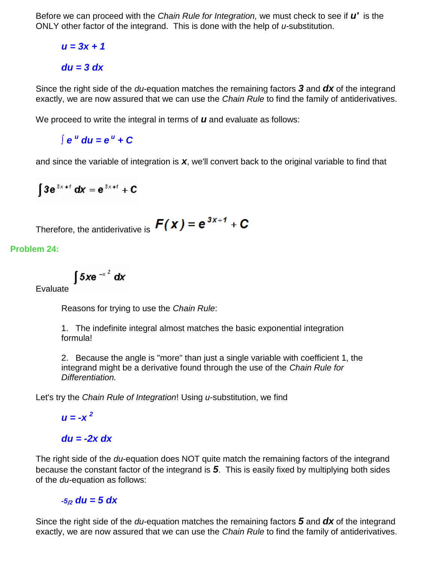Before we can proceed with the *Chain Rule for Integration,* we must check to see if *u'* is the ONLY other factor of the integrand. This is done with the help of *u*-substitution.

$$
u = 3x + 1
$$

$$
du = 3 dx
$$

Since the right side of the *du*-equation matches the remaining factors *3* and *dx* of the integrand exactly, we are now assured that we can use the *Chain Rule* to find the family of antiderivatives.

We proceed to write the integral in terms of *u* and evaluate as follows:

*∫ e <sup>u</sup> du = e <sup>u</sup> + C* 

and since the variable of integration is *x*, we'll convert back to the original variable to find that

$$
\int 3e^{3x+t} dx = e^{3x+t} + C
$$

Therefore, the antiderivative is 
$$
F(x) = e^{3x+1} + C
$$

**Problem 24:**

$$
\int 5x e^{-x^2} dx
$$

Evaluate <sup>1</sup>

Reasons for trying to use the *Chain Rule*:

1. The indefinite integral almost matches the basic exponential integration formula!

2. Because the angle is "more" than just a single variable with coefficient 1, the integrand might be a derivative found through the use of the *Chain Rule for Differentiation.*

Let's try the *Chain Rule of Integration*! Using *u*-substitution, we find

 $u = -x^2$ 

# *du = -2x dx*

The right side of the *du*-equation does NOT quite match the remaining factors of the integrand because the constant factor of the integrand is *5*. This is easily fixed by multiplying both sides of the *du*-equation as follows:

# *-5/<sup>2</sup> du = 5 dx*

Since the right side of the *du*-equation matches the remaining factors *5* and *dx* of the integrand exactly, we are now assured that we can use the *Chain Rule* to find the family of antiderivatives.